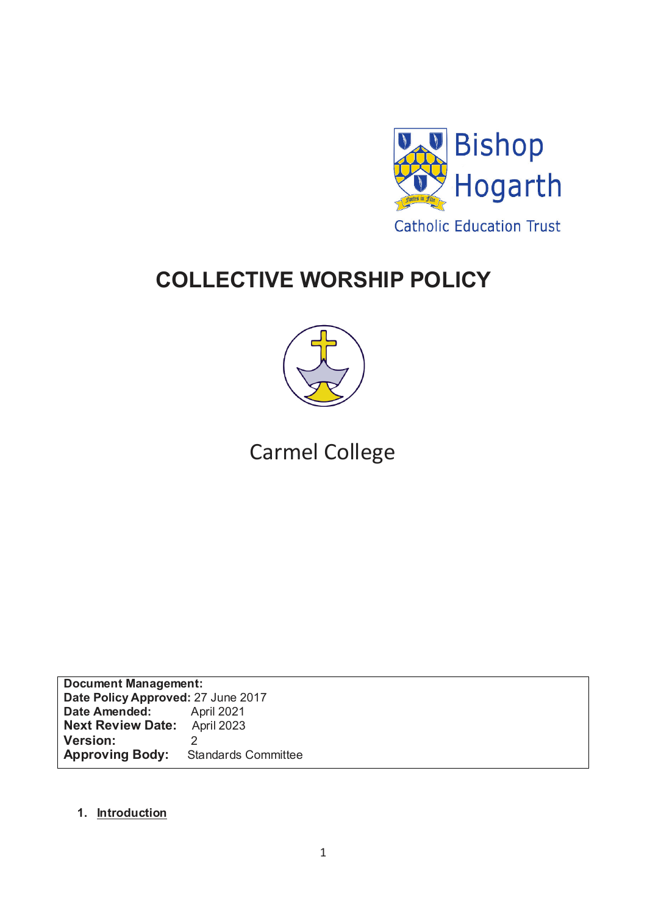

# **COLLECTIVE WORSHIP POLICY**



# Carmel College

**Document Management: Date Policy Approved: 27 June 2017<br>
<b>Date Amended:** April 2021 **Date Amended:** April 2021<br>**Next Review Date:** April 2023 **Next Review Date: Version:** 2<br>**Approving Body:** Standards Committee **Approving Body:** 

## **1. Introduction**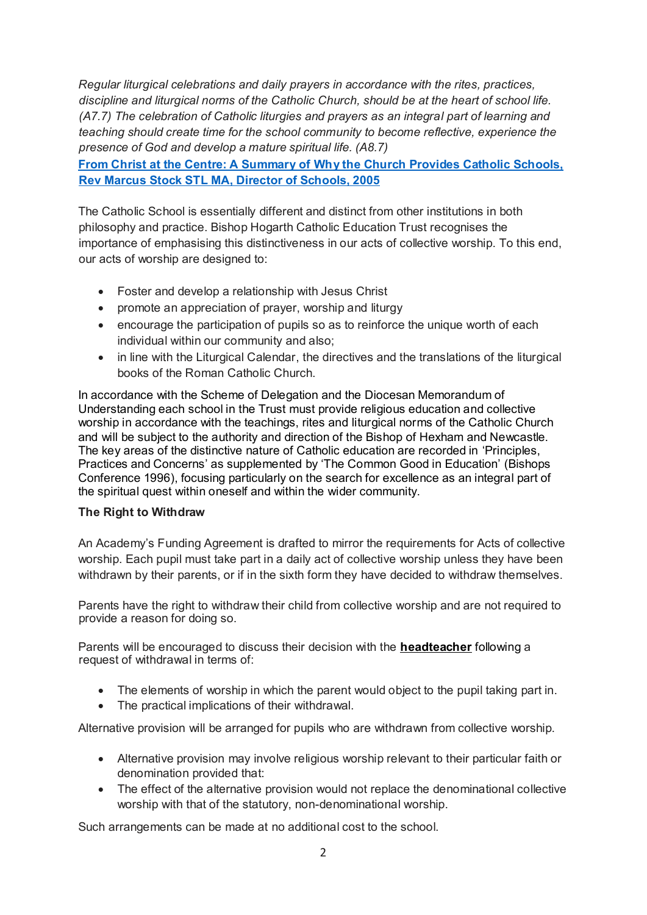*Regular liturgical celebrations and daily prayers in accordance with the rites, practices, discipline and liturgical norms of the Catholic Church, should be at the heart of school life. (A7.7) The celebration of Catholic liturgies and prayers as an integral part of learning and teaching should create time for the school community to become reflective, experience the presence of God and develop a mature spiritual life. (A8.7)* 

**From Christ at the Centre: A Summary of Why the Church Provides Catholic Schools, Rev Marcus Stock STL MA, Director of Schools, 2005**

The Catholic School is essentially different and distinct from other institutions in both philosophy and practice. Bishop Hogarth Catholic Education Trust recognises the importance of emphasising this distinctiveness in our acts of collective worship. To this end, our acts of worship are designed to:

- Foster and develop a relationship with Jesus Christ
- promote an appreciation of prayer, worship and liturgy
- encourage the participation of pupils so as to reinforce the unique worth of each individual within our community and also;
- in line with the Liturgical Calendar, the directives and the translations of the liturgical books of the Roman Catholic Church.

In accordance with the Scheme of Delegation and the Diocesan Memorandum of Understanding each school in the Trust must provide religious education and collective worship in accordance with the teachings, rites and liturgical norms of the Catholic Church and will be subject to the authority and direction of the Bishop of Hexham and Newcastle. The key areas of the distinctive nature of Catholic education are recorded in 'Principles, Practices and Concerns' as supplemented by 'The Common Good in Education' (Bishops Conference 1996), focusing particularly on the search for excellence as an integral part of the spiritual quest within oneself and within the wider community.

#### **The Right to Withdraw**

An Academy's Funding Agreement is drafted to mirror the requirements for Acts of collective worship. Each pupil must take part in a daily act of collective worship unless they have been withdrawn by their parents, or if in the sixth form they have decided to withdraw themselves.

Parents have the right to withdraw their child from collective worship and are not required to provide a reason for doing so.

Parents will be encouraged to discuss their decision with the **headteacher** following a request of withdrawal in terms of:

- The elements of worship in which the parent would object to the pupil taking part in.
- The practical implications of their withdrawal.

Alternative provision will be arranged for pupils who are withdrawn from collective worship.

- Alternative provision may involve religious worship relevant to their particular faith or denomination provided that:
- The effect of the alternative provision would not replace the denominational collective worship with that of the statutory, non-denominational worship.

Such arrangements can be made at no additional cost to the school.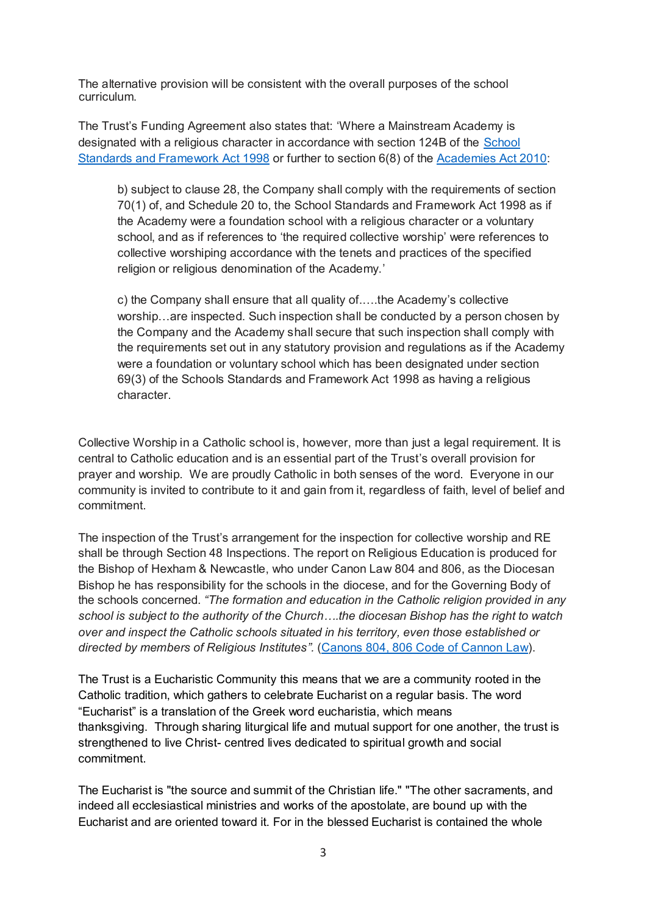The alternative provision will be consistent with the overall purposes of the school curriculum.

The Trust's Funding Agreement also states that: 'Where a Mainstream Academy is designated with a religious character in accordance with section 124B of the [School](http://www.legislation.gov.uk/ukpga/1998/31/contents)  [Standards and Framework Act 1998](http://www.legislation.gov.uk/ukpga/1998/31/contents) or further to section 6(8) of the [Academies Act 2010:](http://www.legislation.gov.uk/ukpga/2010/32/schedule/1)

b) subject to clause 28, the Company shall comply with the requirements of section 70(1) of, and Schedule 20 to, the School Standards and Framework Act 1998 as if the Academy were a foundation school with a religious character or a voluntary school, and as if references to 'the required collective worship' were references to collective worshiping accordance with the tenets and practices of the specified religion or religious denomination of the Academy.'

c) the Company shall ensure that all quality of.….the Academy's collective worship…are inspected. Such inspection shall be conducted by a person chosen by the Company and the Academy shall secure that such inspection shall comply with the requirements set out in any statutory provision and regulations as if the Academy were a foundation or voluntary school which has been designated under section 69(3) of the Schools Standards and Framework Act 1998 as having a religious character.

Collective Worship in a Catholic school is, however, more than just a legal requirement. It is central to Catholic education and is an essential part of the Trust's overall provision for prayer and worship. We are proudly Catholic in both senses of the word. Everyone in our community is invited to contribute to it and gain from it, regardless of faith, level of belief and commitment.

The inspection of the Trust's arrangement for the inspection for collective worship and RE shall be through Section 48 Inspections. The report on Religious Education is produced for the Bishop of Hexham & Newcastle, who under Canon Law 804 and 806, as the Diocesan Bishop he has responsibility for the schools in the diocese, and for the Governing Body of the schools concerned. *"The formation and education in the Catholic religion provided in any school is subject to the authority of the Church….the diocesan Bishop has the right to watch over and inspect the Catholic schools situated in his territory, even those established or directed by members of Religious Institutes".* [\(Canons 804, 806 Code of Cannon Law\)](http://www.vatican.va/archive/ENG1104/_P2N.HTM).

The Trust is a Eucharistic Community this means that we are a community rooted in the Catholic tradition, which gathers to celebrate Eucharist on a regular basis. The word "Eucharist" is a translation of the Greek word eucharistia, which means thanksgiving. Through sharing liturgical life and mutual support for one another, the trust is strengthened to live Christ- centred lives dedicated to spiritual growth and social commitment.

The Eucharist is "the source and summit of the Christian life." "The other sacraments, and indeed all ecclesiastical ministries and works of the apostolate, are bound up with the Eucharist and are oriented toward it. For in the blessed Eucharist is contained the whole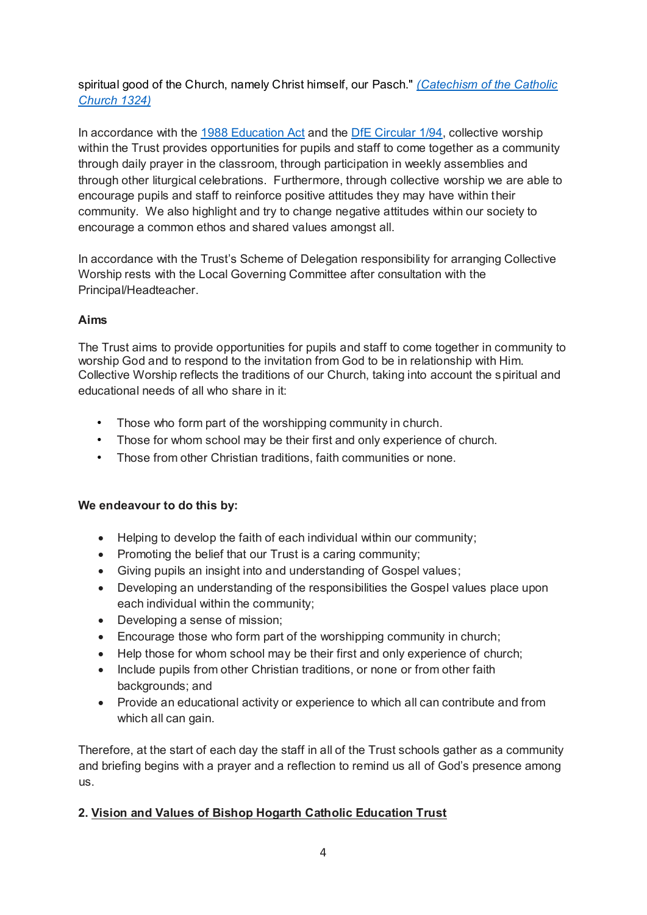spiritual good of the Church, namely Christ himself, our Pasch." *[\(Catechism of the Catholic](http://www.vatican.va/archive/ccc_css/archive/catechism/p2s2c1a3.htm)  [Church 1324\)](http://www.vatican.va/archive/ccc_css/archive/catechism/p2s2c1a3.htm)*

In accordance with the [1988 Education Act](http://www.legislation.gov.uk/ukpga/1988/40/contents) and the [DfE Circular 1/94,](https://www.gov.uk/government/uploads/system/uploads/attachment_data/file/281929/Collective_worship_in_schools.pdf) collective worship within the Trust provides opportunities for pupils and staff to come together as a community through daily prayer in the classroom, through participation in weekly assemblies and through other liturgical celebrations. Furthermore, through collective worship we are able to encourage pupils and staff to reinforce positive attitudes they may have within their community. We also highlight and try to change negative attitudes within our society to encourage a common ethos and shared values amongst all.

In accordance with the Trust's Scheme of Delegation responsibility for arranging Collective Worship rests with the Local Governing Committee after consultation with the Principal/Headteacher.

## **Aims**

The Trust aims to provide opportunities for pupils and staff to come together in community to worship God and to respond to the invitation from God to be in relationship with Him. Collective Worship reflects the traditions of our Church, taking into account the spiritual and educational needs of all who share in it:

- Those who form part of the worshipping community in church.
- Those for whom school may be their first and only experience of church.
- Those from other Christian traditions, faith communities or none.

#### **We endeavour to do this by:**

- Helping to develop the faith of each individual within our community;
- Promoting the belief that our Trust is a caring community:
- Giving pupils an insight into and understanding of Gospel values;
- Developing an understanding of the responsibilities the Gospel values place upon each individual within the community;
- Developing a sense of mission;
- Encourage those who form part of the worshipping community in church;
- Help those for whom school may be their first and only experience of church;
- Include pupils from other Christian traditions, or none or from other faith backgrounds; and
- Provide an educational activity or experience to which all can contribute and from which all can gain.

Therefore, at the start of each day the staff in all of the Trust schools gather as a community and briefing begins with a prayer and a reflection to remind us all of God's presence among us.

## **2. Vision and Values of Bishop Hogarth Catholic Education Trust**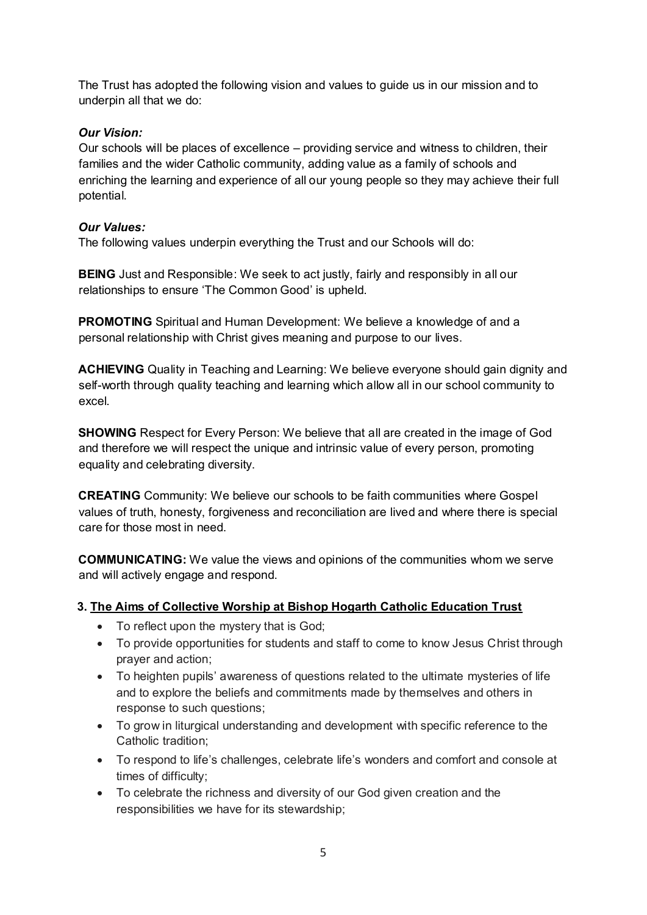The Trust has adopted the following vision and values to guide us in our mission and to underpin all that we do:

## *Our Vision:*

Our schools will be places of excellence – providing service and witness to children, their families and the wider Catholic community, adding value as a family of schools and enriching the learning and experience of all our young people so they may achieve their full potential.

# *Our Values:*

The following values underpin everything the Trust and our Schools will do:

**BEING** Just and Responsible: We seek to act justly, fairly and responsibly in all our relationships to ensure 'The Common Good' is upheld.

**PROMOTING** Spiritual and Human Development: We believe a knowledge of and a personal relationship with Christ gives meaning and purpose to our lives.

**ACHIEVING** Quality in Teaching and Learning: We believe everyone should gain dignity and self-worth through quality teaching and learning which allow all in our school community to excel.

**SHOWING** Respect for Every Person: We believe that all are created in the image of God and therefore we will respect the unique and intrinsic value of every person, promoting equality and celebrating diversity.

**CREATING** Community: We believe our schools to be faith communities where Gospel values of truth, honesty, forgiveness and reconciliation are lived and where there is special care for those most in need.

**COMMUNICATING:** We value the views and opinions of the communities whom we serve and will actively engage and respond.

# **3. The Aims of Collective Worship at Bishop Hogarth Catholic Education Trust**

- To reflect upon the mystery that is God;
- To provide opportunities for students and staff to come to know Jesus Christ through prayer and action;
- To heighten pupils' awareness of questions related to the ultimate mysteries of life and to explore the beliefs and commitments made by themselves and others in response to such questions;
- To grow in liturgical understanding and development with specific reference to the Catholic tradition;
- To respond to life's challenges, celebrate life's wonders and comfort and console at times of difficulty;
- To celebrate the richness and diversity of our God given creation and the responsibilities we have for its stewardship;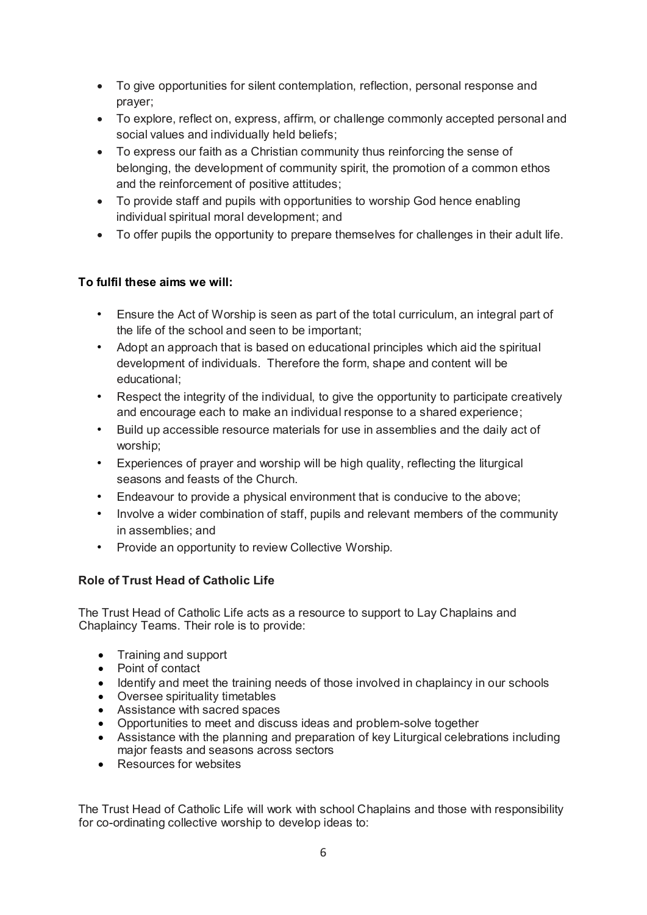- To give opportunities for silent contemplation, reflection, personal response and prayer;
- To explore, reflect on, express, affirm, or challenge commonly accepted personal and social values and individually held beliefs;
- To express our faith as a Christian community thus reinforcing the sense of belonging, the development of community spirit, the promotion of a common ethos and the reinforcement of positive attitudes;
- To provide staff and pupils with opportunities to worship God hence enabling individual spiritual moral development; and
- To offer pupils the opportunity to prepare themselves for challenges in their adult life.

# **To fulfil these aims we will:**

- Ensure the Act of Worship is seen as part of the total curriculum, an integral part of the life of the school and seen to be important;
- Adopt an approach that is based on educational principles which aid the spiritual development of individuals. Therefore the form, shape and content will be educational;
- Respect the integrity of the individual, to give the opportunity to participate creatively and encourage each to make an individual response to a shared experience;
- Build up accessible resource materials for use in assemblies and the daily act of worship;
- Experiences of prayer and worship will be high quality, reflecting the liturgical seasons and feasts of the Church.
- Endeavour to provide a physical environment that is conducive to the above;
- Involve a wider combination of staff, pupils and relevant members of the community in assemblies; and
- Provide an opportunity to review Collective Worship.

## **Role of Trust Head of Catholic Life**

The Trust Head of Catholic Life acts as a resource to support to Lay Chaplains and Chaplaincy Teams. Their role is to provide:

- Training and support
- Point of contact
- Identify and meet the training needs of those involved in chaplaincy in our schools
- Oversee spirituality timetables
- Assistance with sacred spaces
- Opportunities to meet and discuss ideas and problem-solve together
- Assistance with the planning and preparation of key Liturgical celebrations including major feasts and seasons across sectors
- Resources for websites

The Trust Head of Catholic Life will work with school Chaplains and those with responsibility for co-ordinating collective worship to develop ideas to: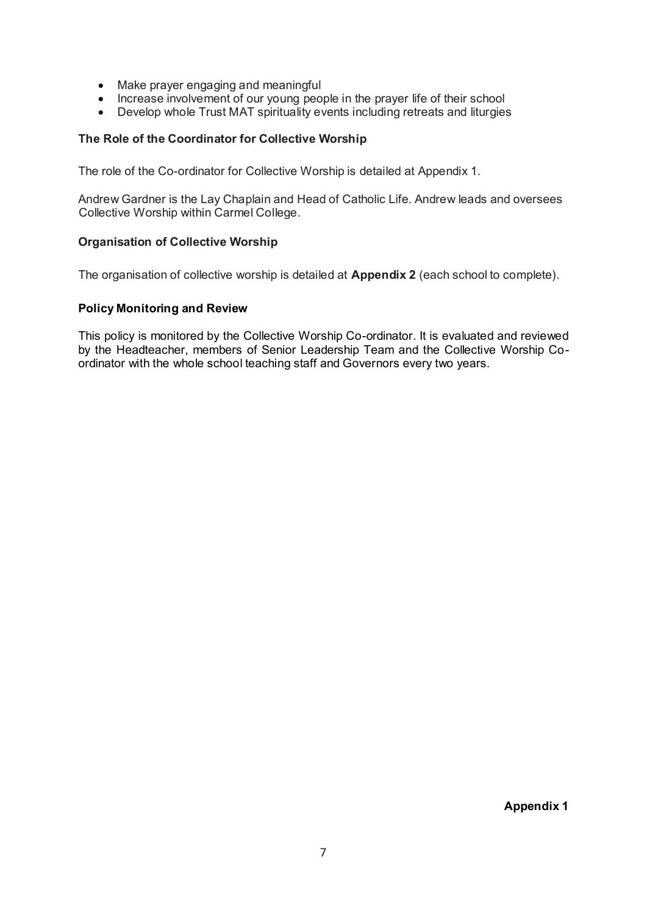- Make prayer engaging and meaningful
- Increase involvement of our young people in the prayer life of their school
- Develop whole Trust MAT spirituality events including retreats and liturgies

#### **The Role of the Coordinator for Collective Worship**

The role of the Co-ordinator for Collective Worship is detailed at Appendix 1.

Andrew Gardner is the Lay Chaplain and Head of Catholic Life. Andrew leads and oversees Collective Worship within Carmel College.

#### **Organisation of Collective Worship**

The organisation of collective worship is detailed at **Appendix 2** (each school to complete).

#### **Policy Monitoring and Review**

This policy is monitored by the Collective Worship Co-ordinator. It is evaluated and reviewed by the Headteacher, members of Senior Leadership Team and the Collective Worship Coordinator with the whole school teaching staff and Governors every two years.

**Appendix 1**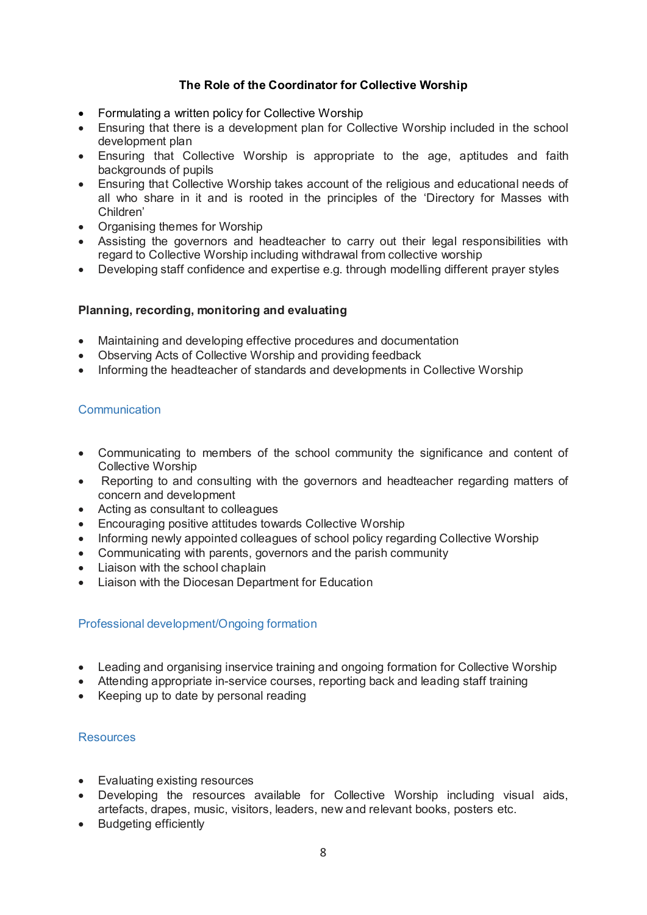## **The Role of the Coordinator for Collective Worship**

- Formulating a written policy for Collective Worship
- Ensuring that there is a development plan for Collective Worship included in the school development plan
- Ensuring that Collective Worship is appropriate to the age, aptitudes and faith backgrounds of pupils
- Ensuring that Collective Worship takes account of the religious and educational needs of all who share in it and is rooted in the principles of the 'Directory for Masses with Children'
- Organising themes for Worship
- Assisting the governors and headteacher to carry out their legal responsibilities with regard to Collective Worship including withdrawal from collective worship
- Developing staff confidence and expertise e.g. through modelling different prayer styles

## **Planning, recording, monitoring and evaluating**

- Maintaining and developing effective procedures and documentation
- Observing Acts of Collective Worship and providing feedback
- Informing the headteacher of standards and developments in Collective Worship

## **Communication**

- Communicating to members of the school community the significance and content of Collective Worship
- Reporting to and consulting with the governors and headteacher regarding matters of concern and development
- Acting as consultant to colleagues
- Encouraging positive attitudes towards Collective Worship
- Informing newly appointed colleagues of school policy regarding Collective Worship
- Communicating with parents, governors and the parish community
- Liaison with the school chaplain
- Liaison with the Diocesan Department for Education

#### Professional development/Ongoing formation

- Leading and organising inservice training and ongoing formation for Collective Worship
- Attending appropriate in-service courses, reporting back and leading staff training
- Keeping up to date by personal reading

#### Resources

- Evaluating existing resources
- Developing the resources available for Collective Worship including visual aids, artefacts, drapes, music, visitors, leaders, new and relevant books, posters etc.
- Budgeting efficiently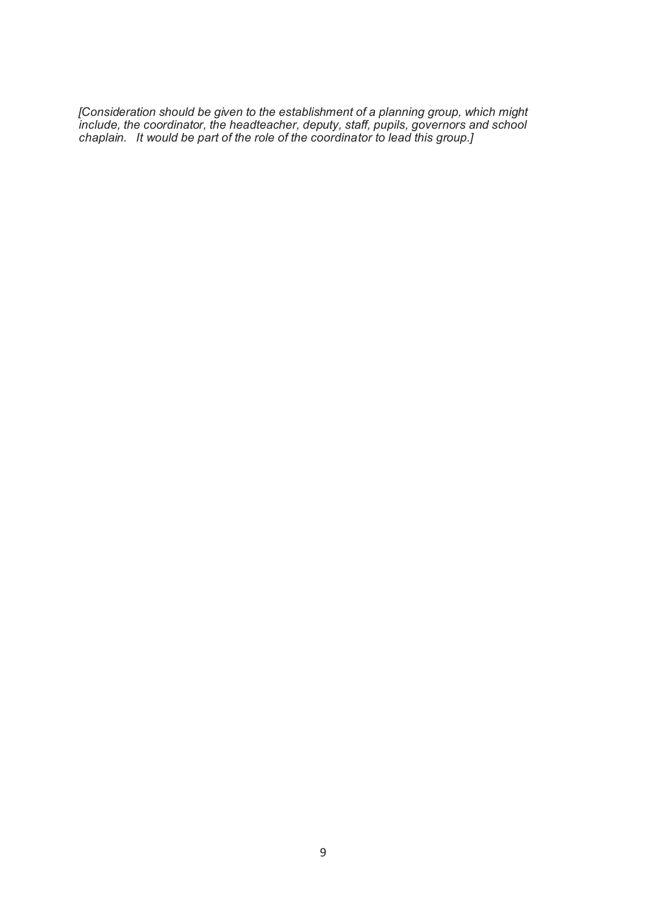*[Consideration should be given to the establishment of a planning group, which might include, the coordinator, the headteacher, deputy, staff, pupils, governors and school chaplain. It would be part of the role of the coordinator to lead this group.]*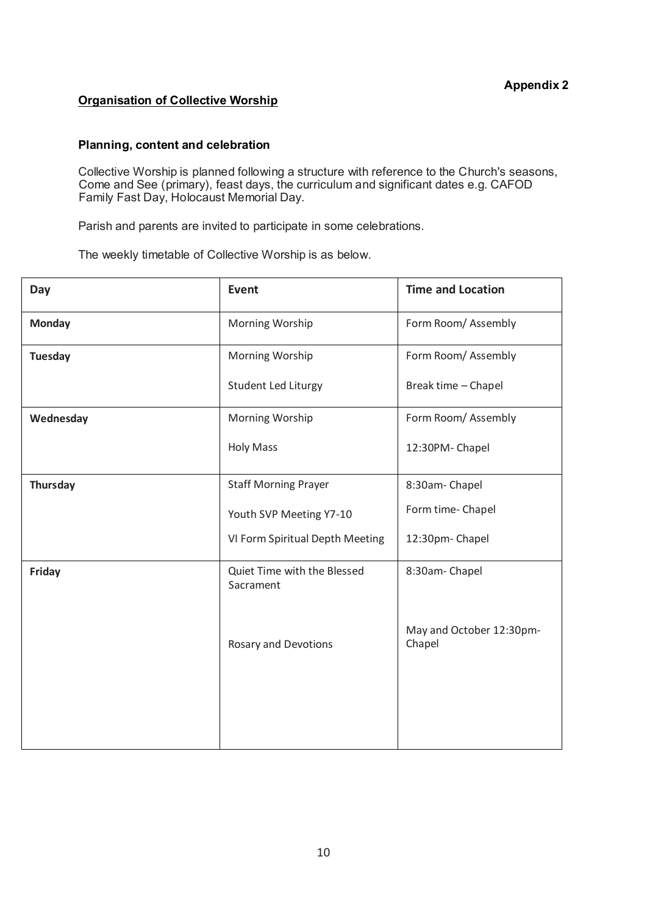#### **Organisation of Collective Worship**

#### **Planning, content and celebration**

Collective Worship is planned following a structure with reference to the Church's seasons, Come and See (primary), feast days, the curriculum and significant dates e.g. CAFOD Family Fast Day, Holocaust Memorial Day.

Parish and parents are invited to participate in some celebrations.

The weekly timetable of Collective Worship is as below.

| Day             | <b>Event</b>                             | <b>Time and Location</b>           |  |
|-----------------|------------------------------------------|------------------------------------|--|
| <b>Monday</b>   | Morning Worship                          | Form Room/Assembly                 |  |
| <b>Tuesday</b>  | Morning Worship                          | Form Room/Assembly                 |  |
|                 | Student Led Liturgy                      | Break time - Chapel                |  |
| Wednesday       | Morning Worship                          | Form Room/Assembly                 |  |
|                 | <b>Holy Mass</b>                         | 12:30PM-Chapel                     |  |
| <b>Thursday</b> | <b>Staff Morning Prayer</b>              | 8:30am-Chapel                      |  |
|                 | Youth SVP Meeting Y7-10                  | Form time- Chapel                  |  |
|                 | VI Form Spiritual Depth Meeting          | 12:30pm- Chapel                    |  |
| Friday          | Quiet Time with the Blessed<br>Sacrament | 8:30am-Chapel                      |  |
|                 | Rosary and Devotions                     | May and October 12:30pm-<br>Chapel |  |
|                 |                                          |                                    |  |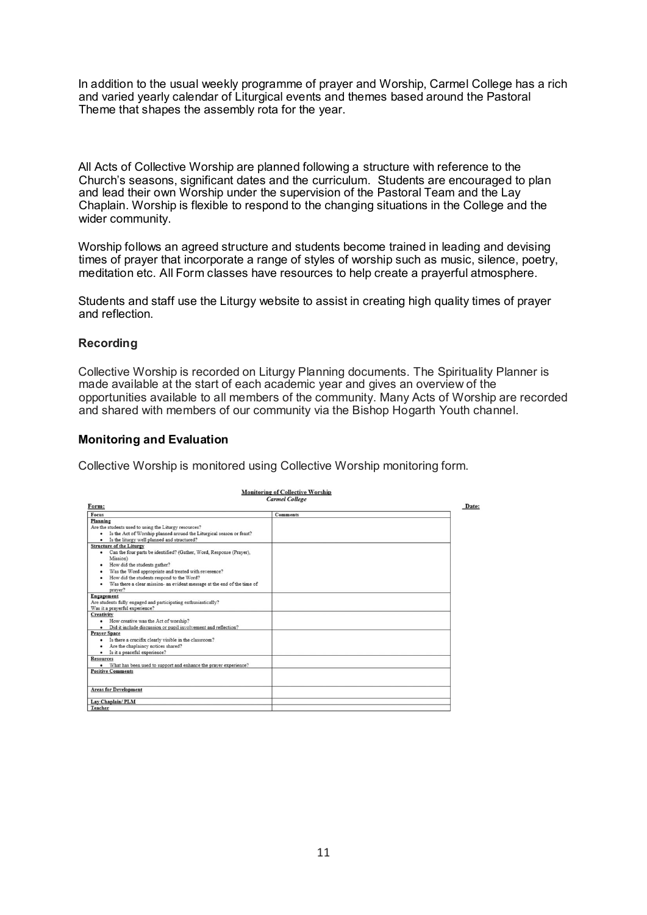In addition to the usual weekly programme of prayer and Worship, Carmel College has a rich and varied yearly calendar of Liturgical events and themes based around the Pastoral Theme that shapes the assembly rota for the year.

All Acts of Collective Worship are planned following a structure with reference to the Church's seasons, significant dates and the curriculum. Students are encouraged to plan and lead their own Worship under the supervision of the Pastoral Team and the Lay Chaplain. Worship is flexible to respond to the changing situations in the College and the wider community.

Worship follows an agreed structure and students become trained in leading and devising times of prayer that incorporate a range of styles of worship such as music, silence, poetry, meditation etc. All Form classes have resources to help create a prayerful atmosphere.

Students and staff use the Liturgy website to assist in creating high quality times of prayer and reflection.

#### **Recording**

Collective Worship is recorded on Liturgy Planning documents. The Spirituality Planner is made available at the start of each academic year and gives an overview of the opportunities available to all members of the community. Many Acts of Worship are recorded and shared with members of our community via the Bishop Hogarth Youth channel.

#### **Monitoring and Evaluation**

Collective Worship is monitored using Collective Worship monitoring form.

| Focus                                                                         | <b>Comments</b> |  |
|-------------------------------------------------------------------------------|-----------------|--|
| Planning                                                                      |                 |  |
| Are the students used to using the Liturgy resources?                         |                 |  |
| Is the Act of Worship planned around the Liturgical season or feast?<br>٠     |                 |  |
| Is the liturgy well planned and structured?<br>$\bullet$                      |                 |  |
| <b>Structure of the Liturgy</b>                                               |                 |  |
| Can the four parts be identified? (Gather, Word, Response (Prayer),<br>٠      |                 |  |
| Mission)                                                                      |                 |  |
| How did the students gather?                                                  |                 |  |
| Was the Word appropriate and treated with reverence?                          |                 |  |
| How did the students respond to the Word?                                     |                 |  |
| Was there a clear mission- an evident message at the end of the time of       |                 |  |
| praver?                                                                       |                 |  |
| Engagement                                                                    |                 |  |
| Are students fully engaged and participating enthusiastically?                |                 |  |
| Was it a prayerful experience?                                                |                 |  |
| Creativity                                                                    |                 |  |
| • How creative was the Act of worship?                                        |                 |  |
| · Did it include discussion or pupil involvement and reflection?              |                 |  |
| <b>Praver Space</b>                                                           |                 |  |
| Is there a crucifix clearly visible in the classroom?<br>$\bullet$            |                 |  |
| Are the chaplaincy notices shared?                                            |                 |  |
| · Is it a peaceful experience?                                                |                 |  |
| <b>Resources</b>                                                              |                 |  |
| What has been used to support and enhance the prayer experience?<br>$\bullet$ |                 |  |
| <b>Positive Comments</b>                                                      |                 |  |
|                                                                               |                 |  |
| <b>Areas for Development</b>                                                  |                 |  |
| Lav Chaplain/PLM                                                              |                 |  |
| Teacher                                                                       |                 |  |

**Monitoring of Collective Worship**  $C<sub>cr</sub>$   $C<sub>o</sub>$  $ll<sub>on</sub>$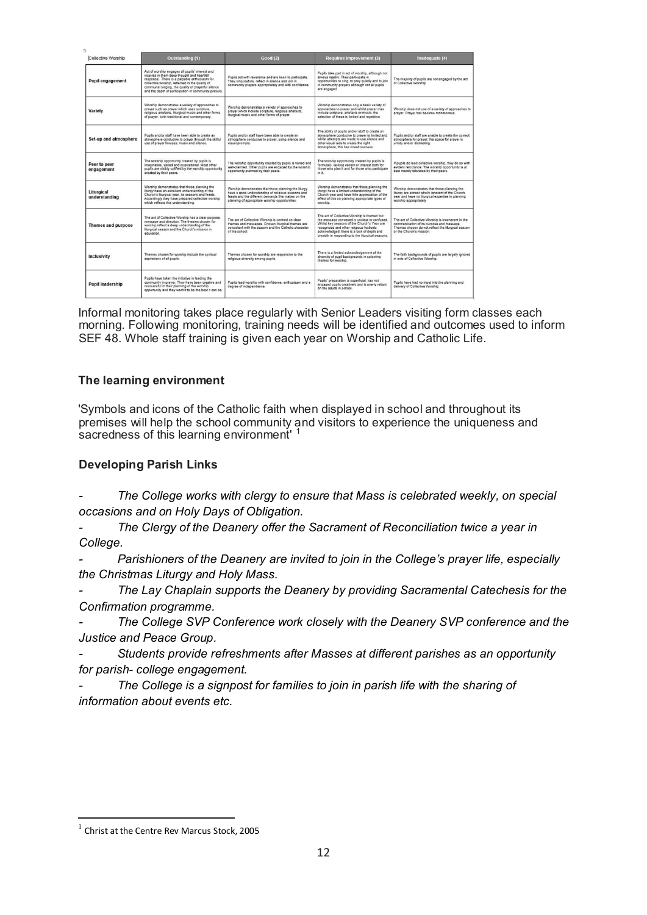| <b>Collective Worship</b>   | <b>Outstanding (1)</b>                                                                                                                                                                                                                                                                                          | <b>Good (2)</b>                                                                                                                                                                                                    | <b>Requires Improvement (3)</b>                                                                                                                                                                                                                                                          | Inadequate (4)                                                                                                                                                                    |
|-----------------------------|-----------------------------------------------------------------------------------------------------------------------------------------------------------------------------------------------------------------------------------------------------------------------------------------------------------------|--------------------------------------------------------------------------------------------------------------------------------------------------------------------------------------------------------------------|------------------------------------------------------------------------------------------------------------------------------------------------------------------------------------------------------------------------------------------------------------------------------------------|-----------------------------------------------------------------------------------------------------------------------------------------------------------------------------------|
| Pupil engagement            | Act of worship engages all pupils' interest and<br>inspires in them deep thought and heartfelt<br>response. There is a palpable enthusiasm for<br>collective worship, reflected in the quality of<br>communal singing, the quality of prayerful silence<br>and the depth of participation in community prayers. | Pupils act with reverence and are keen to participate.<br>They sing joyfully, reflect in silence and join in<br>community prayers appropriately and with confidence.                                               | Pupils take part in act of worship, although not<br>always readily. They participate in<br>opportunities to sing, to pray quietly and to join<br>in community prayers although not all pupils<br>are engaged.                                                                            | The majority of pupils are not engaged by the act<br>of Collective Worship                                                                                                        |
| Variety                     | Worship demonstrates a variety of approaches to<br>prayer such as prayer which uses scripture.<br>religious artefacts, liturgical music and other forms<br>of prayer, both traditional and contemporary.                                                                                                        | Worship demonstrates a variety of approaches to<br>prayer which include scripture, religious artefacts.<br>liturgical music and other forms of prayer.                                                             | Worship demonstrates only a basic variety of<br>approaches to prayer and whilst prayer may<br>include scripture, artefacts or music, the<br>selection of these is limited and repetitive.                                                                                                | Worship does not use of a variety of approaches to<br>prayer. Prayer has become monotonous.                                                                                       |
| Set-up and atmosphere       | Pupils and/or staff have been able to create an<br>atmosphere conducive to prayer through the skilful<br>use of prayer focuses, music and silence.                                                                                                                                                              | Pupils and/or staff have been able to create an<br>atmosphere conducive to prayer, using silence and<br>visual prompts.                                                                                            | The ability of pupils and/or staff to create an<br>atmosphere conducive to prayer is limited and<br>whilst attempts are made to use silence and<br>other visual aids to create the right<br>atmosphere, this has mixed success.                                                          | Pupils and/or staff are unable to create the correct<br>atmosphere for prayer: the space for prayer is<br>untidy and/or distracting.                                              |
| Peer to peer<br>engagement  | The worship opportunity created by pupils is<br>imaginative, varied and inspirational. Most other<br>pupils are visibly uplifted by the worship opportunity<br>created by their peers.                                                                                                                          | The worship opportunity created by pupils is varied and<br>well-olanned. Other pupils are engaged by the worship<br>opportunity planned by their peers.                                                            | The worship opportunity created by pupils is<br>formulaic, lacking variety or interest both for<br>those who plan it and for those who participate<br>in it.                                                                                                                             | If pupils do lead collective worship, they do so with<br>evident reluctance. The worship opportunity is at<br>best merely tolerated by their peers.                               |
| Liturgical<br>understanding | Worship demonstrates that those planning the<br>liturgy have an excellent understanding of the<br>Church's liturgical year, its seasons and feasts.<br>Accordingly they have prepared collective worship<br>which reflects this understanding.                                                                  | Worship demonstrates that those planning the liturgy<br>have a good understanding of religious seasons and<br>feasts and the different demands this makes on the<br>planning of appropriate worship opportunities. | Worship demonstrates that those planning the<br>liturov have a limited understanding of the<br>Church year and have little appreciation of the<br>effect of this on planning appropriate types of<br>worship.                                                                            | Worship demonstrates that those planning the<br>liturgy are almost wholly ignorant of the Church<br>year and have no liturgical expertise in planning<br>worship appropriately    |
| <b>Themes and purpose</b>   | The act of Collective Worship has a clear purpose.<br>message and direction. The themes chosen for<br>worship reflect a deep understanding of the<br>liturgical season and the Church's mission in<br>education.                                                                                                | The act of Collective Worship is centred on clear<br>themes and messages. Chosen liturgical themes are<br>consistent with the season and the Catholic character<br>of the school.                                  | The act of Collective Worship is themed but<br>the message conveyed is unclear or confused.<br>Whilst key seasons of the Church's Year are<br>recognised and other religious festivals<br>acknowledged, there is a lack of depth and<br>breadth in responding to the liturgical seasons. | The act of Collective Worship is incoherent in the<br>communication of its purpose and message.<br>Themes chosen do not reflect the liturgical season<br>or the Church's mission. |
| Inclusivity                 | Themes chosen for worship include the spiritual<br>aspirations of all pupils.                                                                                                                                                                                                                                   | Themes chosen for worship are responsive to the<br>religious diversity among pupils.                                                                                                                               | There is a limited acknowledgement of the<br>diversity of pupil backgrounds in selecting<br>themes for worship.                                                                                                                                                                          | The faith backgrounds of pupils are largely ignored<br>in acts of Collective Worship.                                                                                             |
| <b>Pupil leadership</b>     | Pupils have taken the initiative in leading the<br>community in prayer. They have been creative and<br>resourceful in their planning of the worship<br>opportunity and they want it to be the best it can be.                                                                                                   | Pupils lead worship with confidence, enthusiasm and a<br>degree of independence.                                                                                                                                   | Pupils' preparation is superficial, has not<br>engaged pupils creatively and is overly reliant<br>on the adults in school.                                                                                                                                                               | Pupils have had no input into the planning and<br>delivery of Collective Worship.                                                                                                 |

Informal monitoring takes place regularly with Senior Leaders visiting form classes each morning. Following monitoring, training needs will be identified and outcomes used to inform SEF 48. Whole staff training is given each year on Worship and Catholic Life.

## **The learning environment**

'Symbols and icons of the Catholic faith when displayed in school and throughout its premises will help the school community and visitors to experience the uniqueness and sacredness of this learning environment<sup>'1</sup>

#### **Developing Parish Links**

*- The College works with clergy to ensure that Mass is celebrated weekly, on special occasions and on Holy Days of Obligation.* 

*- The Clergy of the Deanery offer the Sacrament of Reconciliation twice a year in College.* 

*- Parishioners of the Deanery are invited to join in the College's prayer life, especially the Christmas Liturgy and Holy Mass.* 

*- The Lay Chaplain supports the Deanery by providing Sacramental Catechesis for the Confirmation programme.* 

*- The College SVP Conference work closely with the Deanery SVP conference and the Justice and Peace Group.* 

*- Students provide refreshments after Masses at different parishes as an opportunity for parish- college engagement.* 

*- The College is a signpost for families to join in parish life with the sharing of information about events etc.* 

j

<sup>&</sup>lt;sup>1</sup> Christ at the Centre Rev Marcus Stock, 2005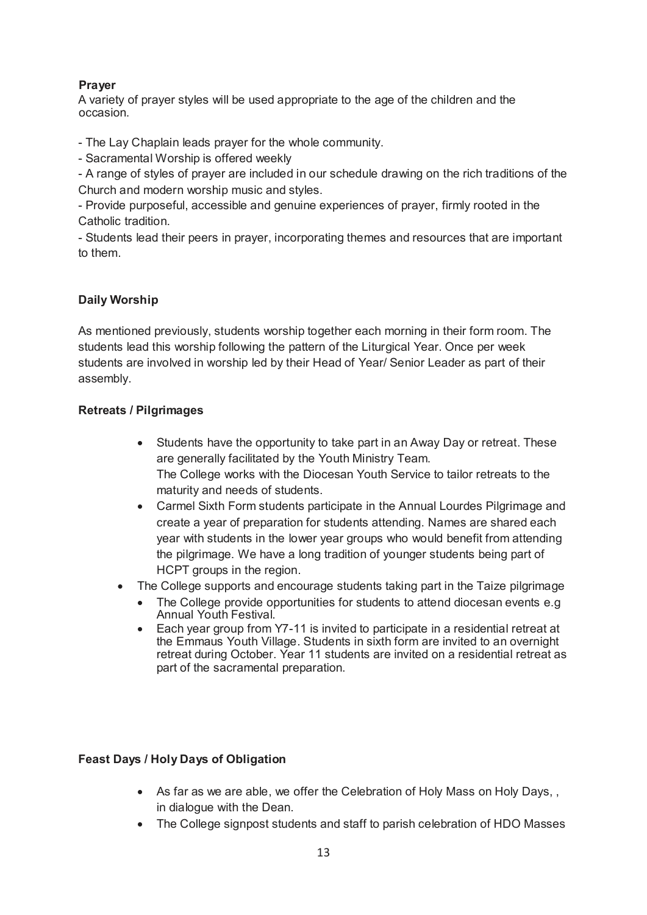## **Prayer**

A variety of prayer styles will be used appropriate to the age of the children and the occasion.

- The Lay Chaplain leads prayer for the whole community.

- Sacramental Worship is offered weekly

- A range of styles of prayer are included in our schedule drawing on the rich traditions of the Church and modern worship music and styles.

- Provide purposeful, accessible and genuine experiences of prayer, firmly rooted in the Catholic tradition.

- Students lead their peers in prayer, incorporating themes and resources that are important to them.

## **Daily Worship**

As mentioned previously, students worship together each morning in their form room. The students lead this worship following the pattern of the Liturgical Year. Once per week students are involved in worship led by their Head of Year/ Senior Leader as part of their assembly.

## **Retreats / Pilgrimages**

- Students have the opportunity to take part in an Away Day or retreat. These are generally facilitated by the Youth Ministry Team. The College works with the Diocesan Youth Service to tailor retreats to the maturity and needs of students.
- Carmel Sixth Form students participate in the Annual Lourdes Pilgrimage and create a year of preparation for students attending. Names are shared each year with students in the lower year groups who would benefit from attending the pilgrimage. We have a long tradition of younger students being part of HCPT groups in the region.
- The College supports and encourage students taking part in the Taize pilgrimage
	- The College provide opportunities for students to attend diocesan events e.g Annual Youth Festival.
	- Each year group from Y7-11 is invited to participate in a residential retreat at the Emmaus Youth Village. Students in sixth form are invited to an overnight retreat during October. Year 11 students are invited on a residential retreat as part of the sacramental preparation.

## **Feast Days / Holy Days of Obligation**

- As far as we are able, we offer the Celebration of Holy Mass on Holy Days, , in dialogue with the Dean.
- The College signpost students and staff to parish celebration of HDO Masses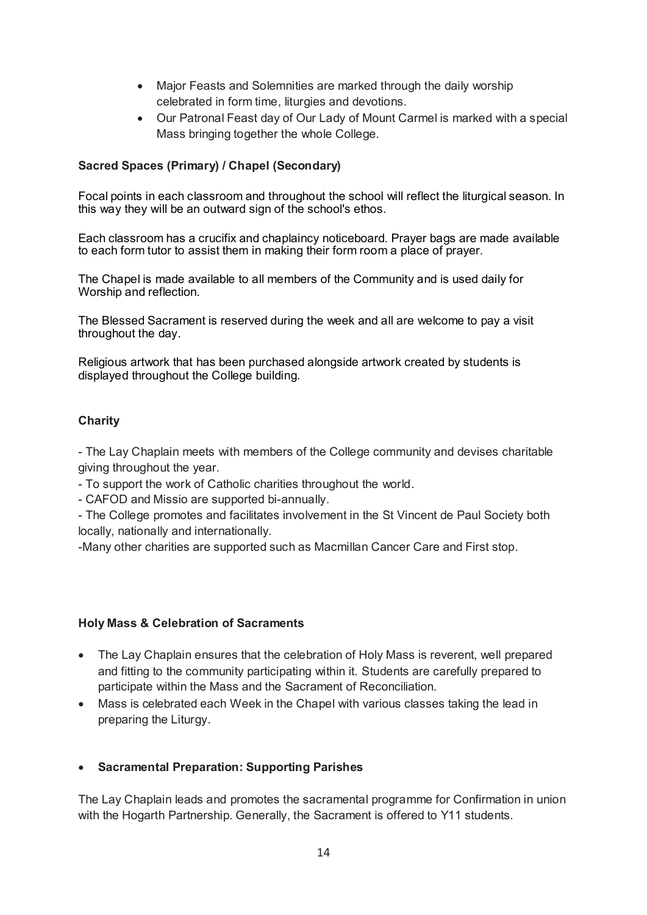- Major Feasts and Solemnities are marked through the daily worship celebrated in form time, liturgies and devotions.
- Our Patronal Feast day of Our Lady of Mount Carmel is marked with a special Mass bringing together the whole College.

# **Sacred Spaces (Primary) / Chapel (Secondary)**

Focal points in each classroom and throughout the school will reflect the liturgical season. In this way they will be an outward sign of the school's ethos.

Each classroom has a crucifix and chaplaincy noticeboard. Prayer bags are made available to each form tutor to assist them in making their form room a place of prayer.

The Chapel is made available to all members of the Community and is used daily for Worship and reflection.

The Blessed Sacrament is reserved during the week and all are welcome to pay a visit throughout the day.

Religious artwork that has been purchased alongside artwork created by students is displayed throughout the College building.

## **Charity**

- The Lay Chaplain meets with members of the College community and devises charitable giving throughout the year.

- To support the work of Catholic charities throughout the world.

- CAFOD and Missio are supported bi-annually.

- The College promotes and facilitates involvement in the St Vincent de Paul Society both locally, nationally and internationally.

-Many other charities are supported such as Macmillan Cancer Care and First stop.

## **Holy Mass & Celebration of Sacraments**

- The Lay Chaplain ensures that the celebration of Holy Mass is reverent, well prepared and fitting to the community participating within it. Students are carefully prepared to participate within the Mass and the Sacrament of Reconciliation.
- Mass is celebrated each Week in the Chapel with various classes taking the lead in preparing the Liturgy.

## **Sacramental Preparation: Supporting Parishes**

The Lay Chaplain leads and promotes the sacramental programme for Confirmation in union with the Hogarth Partnership. Generally, the Sacrament is offered to Y11 students.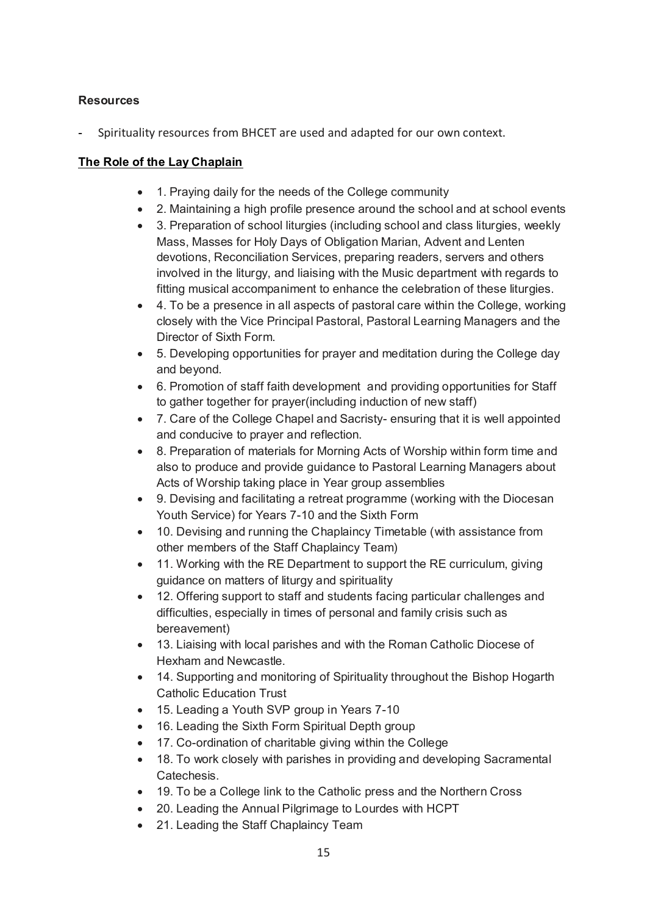## **Resources**

Spirituality resources from BHCET are used and adapted for our own context.

## **The Role of the Lay Chaplain**

- 1. Praying daily for the needs of the College community
- 2. Maintaining a high profile presence around the school and at school events
- 3. Preparation of school liturgies (including school and class liturgies, weekly Mass, Masses for Holy Days of Obligation Marian, Advent and Lenten devotions, Reconciliation Services, preparing readers, servers and others involved in the liturgy, and liaising with the Music department with regards to fitting musical accompaniment to enhance the celebration of these liturgies.
- 4. To be a presence in all aspects of pastoral care within the College, working closely with the Vice Principal Pastoral, Pastoral Learning Managers and the Director of Sixth Form.
- 5. Developing opportunities for prayer and meditation during the College day and beyond.
- 6. Promotion of staff faith development and providing opportunities for Staff to gather together for prayer(including induction of new staff)
- 7. Care of the College Chapel and Sacristy- ensuring that it is well appointed and conducive to prayer and reflection.
- 8. Preparation of materials for Morning Acts of Worship within form time and also to produce and provide guidance to Pastoral Learning Managers about Acts of Worship taking place in Year group assemblies
- 9. Devising and facilitating a retreat programme (working with the Diocesan Youth Service) for Years 7-10 and the Sixth Form
- 10. Devising and running the Chaplaincy Timetable (with assistance from other members of the Staff Chaplaincy Team)
- 11. Working with the RE Department to support the RE curriculum, giving guidance on matters of liturgy and spirituality
- 12. Offering support to staff and students facing particular challenges and difficulties, especially in times of personal and family crisis such as bereavement)
- 13. Liaising with local parishes and with the Roman Catholic Diocese of Hexham and Newcastle.
- 14. Supporting and monitoring of Spirituality throughout the Bishop Hogarth Catholic Education Trust
- 15. Leading a Youth SVP group in Years 7-10
- 16. Leading the Sixth Form Spiritual Depth group
- 17. Co-ordination of charitable giving within the College
- 18. To work closely with parishes in providing and developing Sacramental Catechesis.
- 19. To be a College link to the Catholic press and the Northern Cross
- 20. Leading the Annual Pilgrimage to Lourdes with HCPT
- 21. Leading the Staff Chaplaincy Team